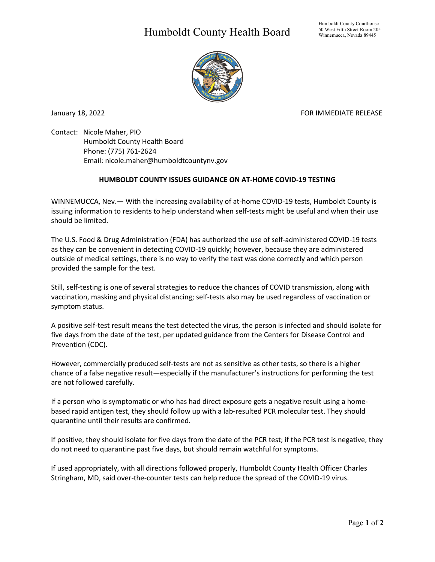## Humboldt County Health Board



January 18, 2022 **FOR IMMEDIATE RELEASE** 

Contact: Nicole Maher, PIO Humboldt County Health Board Phone: (775) 761-2624 Email: nicole.maher@humboldtcountynv.gov

## **HUMBOLDT COUNTY ISSUES GUIDANCE ON AT-HOME COVID-19 TESTING**

WINNEMUCCA, Nev.— With the increasing availability of at-home COVID-19 tests, Humboldt County is issuing information to residents to help understand when self-tests might be useful and when their use should be limited.

The U.S. Food & Drug Administration (FDA) has authorized the use of self-administered COVID-19 tests as they can be convenient in detecting COVID-19 quickly; however, because they are administered outside of medical settings, there is no way to verify the test was done correctly and which person provided the sample for the test.

Still, self-testing is one of several strategies to reduce the chances of COVID transmission, along with vaccination, masking and physical distancing; self-tests also may be used regardless of vaccination or symptom status.

A positive self-test result means the test detected the virus, the person is infected and should isolate for five days from the date of the test, per updated guidance from the Centers for Disease Control and Prevention (CDC).

However, commercially produced self-tests are not as sensitive as other tests, so there is a higher chance of a false negative result—especially if the manufacturer's instructions for performing the test are not followed carefully.

If a person who is symptomatic or who has had direct exposure gets a negative result using a homebased rapid antigen test, they should follow up with a lab-resulted PCR molecular test. They should quarantine until their results are confirmed.

If positive, they should isolate for five days from the date of the PCR test; if the PCR test is negative, they do not need to quarantine past five days, but should remain watchful for symptoms.

If used appropriately, with all directions followed properly, Humboldt County Health Officer Charles Stringham, MD, said over-the-counter tests can help reduce the spread of the COVID-19 virus.